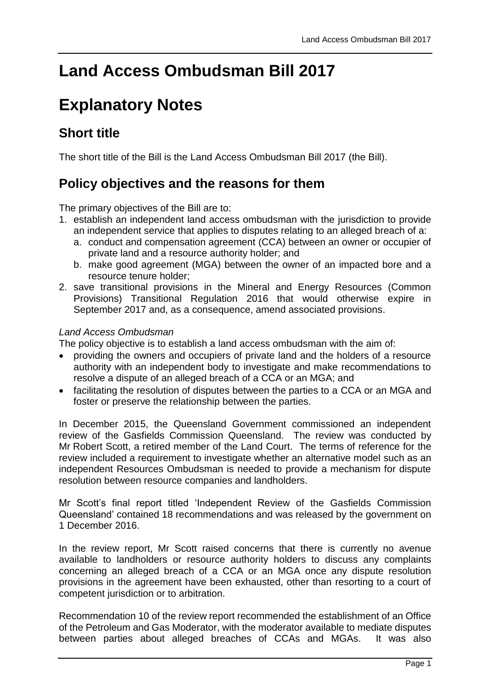# **Land Access Ombudsman Bill 2017**

# **Explanatory Notes**

## **Short title**

The short title of the Bill is the Land Access Ombudsman Bill 2017 (the Bill).

## **Policy objectives and the reasons for them**

The primary objectives of the Bill are to:

- 1. establish an independent land access ombudsman with the jurisdiction to provide an independent service that applies to disputes relating to an alleged breach of a:
	- a. conduct and compensation agreement (CCA) between an owner or occupier of private land and a resource authority holder; and
	- b. make good agreement (MGA) between the owner of an impacted bore and a resource tenure holder;
- 2. save transitional provisions in the Mineral and Energy Resources (Common Provisions) Transitional Regulation 2016 that would otherwise expire in September 2017 and, as a consequence, amend associated provisions.

#### *Land Access Ombudsman*

The policy objective is to establish a land access ombudsman with the aim of:

- providing the owners and occupiers of private land and the holders of a resource authority with an independent body to investigate and make recommendations to resolve a dispute of an alleged breach of a CCA or an MGA; and
- facilitating the resolution of disputes between the parties to a CCA or an MGA and foster or preserve the relationship between the parties.

In December 2015, the Queensland Government commissioned an independent review of the Gasfields Commission Queensland. The review was conducted by Mr Robert Scott, a retired member of the Land Court. The terms of reference for the review included a requirement to investigate whether an alternative model such as an independent Resources Ombudsman is needed to provide a mechanism for dispute resolution between resource companies and landholders.

Mr Scott's final report titled 'Independent Review of the Gasfields Commission Queensland' contained 18 recommendations and was released by the government on 1 December 2016.

In the review report, Mr Scott raised concerns that there is currently no avenue available to landholders or resource authority holders to discuss any complaints concerning an alleged breach of a CCA or an MGA once any dispute resolution provisions in the agreement have been exhausted, other than resorting to a court of competent jurisdiction or to arbitration.

Recommendation 10 of the review report recommended the establishment of an Office of the Petroleum and Gas Moderator, with the moderator available to mediate disputes between parties about alleged breaches of CCAs and MGAs. It was also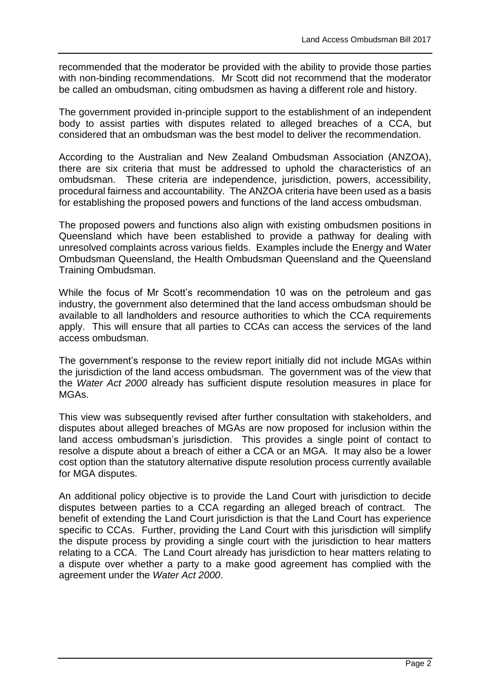recommended that the moderator be provided with the ability to provide those parties with non-binding recommendations. Mr Scott did not recommend that the moderator be called an ombudsman, citing ombudsmen as having a different role and history.

The government provided in-principle support to the establishment of an independent body to assist parties with disputes related to alleged breaches of a CCA, but considered that an ombudsman was the best model to deliver the recommendation.

According to the Australian and New Zealand Ombudsman Association (ANZOA), there are six criteria that must be addressed to uphold the characteristics of an ombudsman. These criteria are independence, jurisdiction, powers, accessibility, procedural fairness and accountability. The ANZOA criteria have been used as a basis for establishing the proposed powers and functions of the land access ombudsman.

The proposed powers and functions also align with existing ombudsmen positions in Queensland which have been established to provide a pathway for dealing with unresolved complaints across various fields. Examples include the Energy and Water Ombudsman Queensland, the Health Ombudsman Queensland and the Queensland Training Ombudsman.

While the focus of Mr Scott's recommendation 10 was on the petroleum and gas industry, the government also determined that the land access ombudsman should be available to all landholders and resource authorities to which the CCA requirements apply. This will ensure that all parties to CCAs can access the services of the land access ombudsman.

The government's response to the review report initially did not include MGAs within the jurisdiction of the land access ombudsman. The government was of the view that the *Water Act 2000* already has sufficient dispute resolution measures in place for MGAs.

This view was subsequently revised after further consultation with stakeholders, and disputes about alleged breaches of MGAs are now proposed for inclusion within the land access ombudsman's jurisdiction. This provides a single point of contact to resolve a dispute about a breach of either a CCA or an MGA. It may also be a lower cost option than the statutory alternative dispute resolution process currently available for MGA disputes.

An additional policy objective is to provide the Land Court with jurisdiction to decide disputes between parties to a CCA regarding an alleged breach of contract. The benefit of extending the Land Court jurisdiction is that the Land Court has experience specific to CCAs. Further, providing the Land Court with this jurisdiction will simplify the dispute process by providing a single court with the jurisdiction to hear matters relating to a CCA. The Land Court already has jurisdiction to hear matters relating to a dispute over whether a party to a make good agreement has complied with the agreement under the *Water Act 2000*.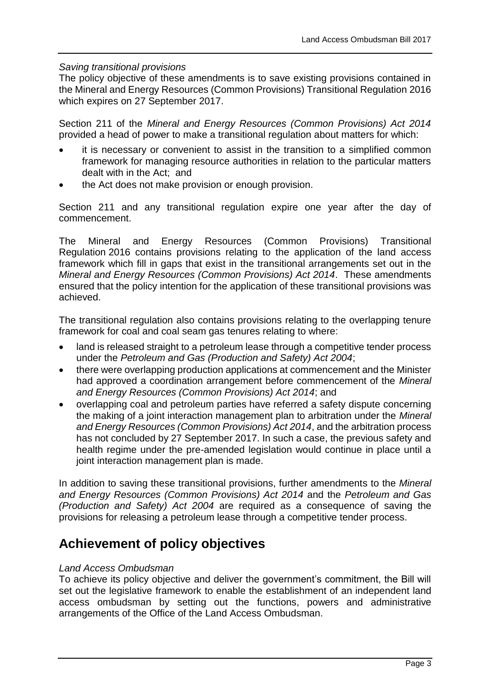#### *Saving transitional provisions*

The policy objective of these amendments is to save existing provisions contained in the Mineral and Energy Resources (Common Provisions) Transitional Regulation 2016 which expires on 27 September 2017.

Section 211 of the *Mineral and Energy Resources (Common Provisions) Act 2014* provided a head of power to make a transitional regulation about matters for which:

- it is necessary or convenient to assist in the transition to a simplified common framework for managing resource authorities in relation to the particular matters dealt with in the Act; and
- the Act does not make provision or enough provision.

Section 211 and any transitional regulation expire one year after the day of commencement.

The Mineral and Energy Resources (Common Provisions) Transitional Regulation 2016 contains provisions relating to the application of the land access framework which fill in gaps that exist in the transitional arrangements set out in the *Mineral and Energy Resources (Common Provisions) Act 2014*. These amendments ensured that the policy intention for the application of these transitional provisions was achieved.

The transitional regulation also contains provisions relating to the overlapping tenure framework for coal and coal seam gas tenures relating to where:

- land is released straight to a petroleum lease through a competitive tender process under the *Petroleum and Gas (Production and Safety) Act 2004*;
- there were overlapping production applications at commencement and the Minister had approved a coordination arrangement before commencement of the *Mineral and Energy Resources (Common Provisions) Act 2014*; and
- overlapping coal and petroleum parties have referred a safety dispute concerning the making of a joint interaction management plan to arbitration under the *Mineral and Energy Resources (Common Provisions) Act 2014*, and the arbitration process has not concluded by 27 September 2017. In such a case, the previous safety and health regime under the pre-amended legislation would continue in place until a joint interaction management plan is made.

In addition to saving these transitional provisions, further amendments to the *Mineral and Energy Resources (Common Provisions) Act 2014* and the *Petroleum and Gas (Production and Safety) Act 2004* are required as a consequence of saving the provisions for releasing a petroleum lease through a competitive tender process.

## **Achievement of policy objectives**

#### *Land Access Ombudsman*

To achieve its policy objective and deliver the government's commitment, the Bill will set out the legislative framework to enable the establishment of an independent land access ombudsman by setting out the functions, powers and administrative arrangements of the Office of the Land Access Ombudsman.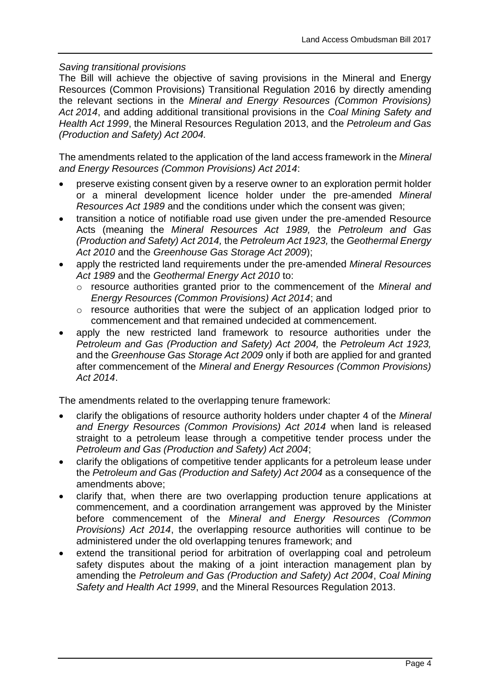#### *Saving transitional provisions*

The Bill will achieve the objective of saving provisions in the Mineral and Energy Resources (Common Provisions) Transitional Regulation 2016 by directly amending the relevant sections in the *Mineral and Energy Resources (Common Provisions) Act 2014*, and adding additional transitional provisions in the *Coal Mining Safety and Health Act 1999*, the Mineral Resources Regulation 2013, and the *Petroleum and Gas (Production and Safety) Act 2004.*

The amendments related to the application of the land access framework in the *Mineral and Energy Resources (Common Provisions) Act 2014*:

- preserve existing consent given by a reserve owner to an exploration permit holder or a mineral development licence holder under the pre-amended *Mineral Resources Act 1989* and the conditions under which the consent was given;
- transition a notice of notifiable road use given under the pre-amended Resource Acts (meaning the *Mineral Resources Act 1989,* the *Petroleum and Gas (Production and Safety) Act 2014,* the *Petroleum Act 1923,* the *Geothermal Energy Act 2010* and the *Greenhouse Gas Storage Act 2009*);
- apply the restricted land requirements under the pre-amended *Mineral Resources Act 1989* and the *Geothermal Energy Act 2010* to:
	- o resource authorities granted prior to the commencement of the *Mineral and Energy Resources (Common Provisions) Act 2014*; and
	- o resource authorities that were the subject of an application lodged prior to commencement and that remained undecided at commencement.
- apply the new restricted land framework to resource authorities under the *Petroleum and Gas (Production and Safety) Act 2004,* the *Petroleum Act 1923,*  and the *Greenhouse Gas Storage Act 2009* only if both are applied for and granted after commencement of the *Mineral and Energy Resources (Common Provisions) Act 2014*.

The amendments related to the overlapping tenure framework:

- clarify the obligations of resource authority holders under chapter 4 of the *Mineral and Energy Resources (Common Provisions) Act 2014* when land is released straight to a petroleum lease through a competitive tender process under the *Petroleum and Gas (Production and Safety) Act 2004*;
- clarify the obligations of competitive tender applicants for a petroleum lease under the *Petroleum and Gas (Production and Safety) Act 2004* as a consequence of the amendments above;
- clarify that, when there are two overlapping production tenure applications at commencement, and a coordination arrangement was approved by the Minister before commencement of the *Mineral and Energy Resources (Common Provisions) Act 2014*, the overlapping resource authorities will continue to be administered under the old overlapping tenures framework; and
- extend the transitional period for arbitration of overlapping coal and petroleum safety disputes about the making of a joint interaction management plan by amending the *Petroleum and Gas (Production and Safety) Act 2004*, *Coal Mining Safety and Health Act 1999*, and the Mineral Resources Regulation 2013.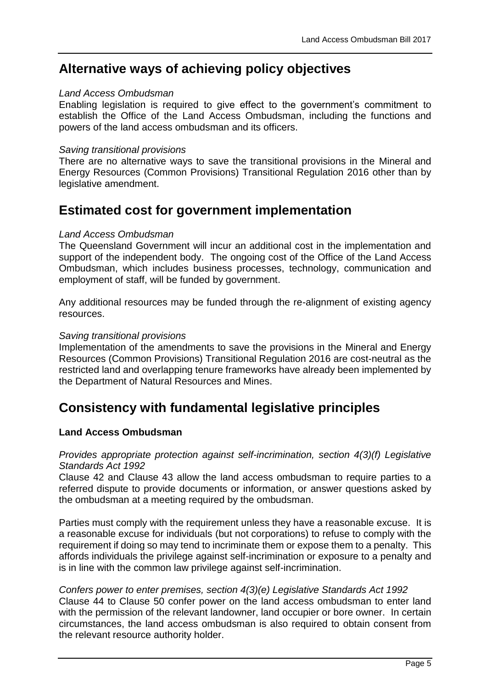## **Alternative ways of achieving policy objectives**

#### *Land Access Ombudsman*

Enabling legislation is required to give effect to the government's commitment to establish the Office of the Land Access Ombudsman, including the functions and powers of the land access ombudsman and its officers.

#### *Saving transitional provisions*

There are no alternative ways to save the transitional provisions in the Mineral and Energy Resources (Common Provisions) Transitional Regulation 2016 other than by legislative amendment.

## **Estimated cost for government implementation**

#### *Land Access Ombudsman*

The Queensland Government will incur an additional cost in the implementation and support of the independent body. The ongoing cost of the Office of the Land Access Ombudsman, which includes business processes, technology, communication and employment of staff, will be funded by government.

Any additional resources may be funded through the re-alignment of existing agency resources.

#### *Saving transitional provisions*

Implementation of the amendments to save the provisions in the Mineral and Energy Resources (Common Provisions) Transitional Regulation 2016 are cost-neutral as the restricted land and overlapping tenure frameworks have already been implemented by the Department of Natural Resources and Mines.

## **Consistency with fundamental legislative principles**

#### **Land Access Ombudsman**

#### *Provides appropriate protection against self-incrimination, section 4(3)(f) Legislative Standards Act 1992*

[Clause 42](#page-16-0) and [Clause 43](#page-17-0) allow the land access ombudsman to require parties to a referred dispute to provide documents or information, or answer questions asked by the ombudsman at a meeting required by the ombudsman.

Parties must comply with the requirement unless they have a reasonable excuse. It is a reasonable excuse for individuals (but not corporations) to refuse to comply with the requirement if doing so may tend to incriminate them or expose them to a penalty. This affords individuals the privilege against self-incrimination or exposure to a penalty and is in line with the common law privilege against self-incrimination.

## *Confers power to enter premises, section 4(3)(e) Legislative Standards Act 1992*

[Clause 44](#page-17-1) to [Clause 50](#page-19-0) confer power on the land access ombudsman to enter land with the permission of the relevant landowner, land occupier or bore owner. In certain circumstances, the land access ombudsman is also required to obtain consent from the relevant resource authority holder.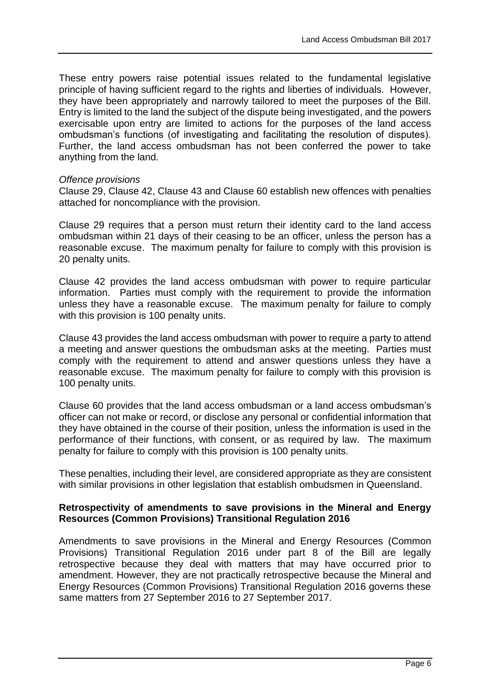These entry powers raise potential issues related to the fundamental legislative principle of having sufficient regard to the rights and liberties of individuals. However, they have been appropriately and narrowly tailored to meet the purposes of the Bill. Entry is limited to the land the subject of the dispute being investigated, and the powers exercisable upon entry are limited to actions for the purposes of the land access ombudsman's functions (of investigating and facilitating the resolution of disputes). Further, the land access ombudsman has not been conferred the power to take anything from the land.

#### *Offence provisions*

[Clause 29,](#page-12-0) [Clause 42,](#page-16-0) [Clause 43](#page-17-0) and [Clause 60](#page-22-0) establish new offences with penalties attached for noncompliance with the provision.

[Clause 29](#page-12-0) requires that a person must return their identity card to the land access ombudsman within 21 days of their ceasing to be an officer, unless the person has a reasonable excuse. The maximum penalty for failure to comply with this provision is 20 penalty units.

[Clause 42](#page-16-0) provides the land access ombudsman with power to require particular information. Parties must comply with the requirement to provide the information unless they have a reasonable excuse. The maximum penalty for failure to comply with this provision is 100 penalty units.

[Clause 43](#page-17-0) provides the land access ombudsman with power to require a party to attend a meeting and answer questions the ombudsman asks at the meeting. Parties must comply with the requirement to attend and answer questions unless they have a reasonable excuse. The maximum penalty for failure to comply with this provision is 100 penalty units.

[Clause 60](#page-22-0) provides that the land access ombudsman or a land access ombudsman's officer can not make or record, or disclose any personal or confidential information that they have obtained in the course of their position, unless the information is used in the performance of their functions, with consent, or as required by law. The maximum penalty for failure to comply with this provision is 100 penalty units.

These penalties, including their level, are considered appropriate as they are consistent with similar provisions in other legislation that establish ombudsmen in Queensland.

#### **Retrospectivity of amendments to save provisions in the Mineral and Energy Resources (Common Provisions) Transitional Regulation 2016**

Amendments to save provisions in the Mineral and Energy Resources (Common Provisions) Transitional Regulation 2016 under part 8 of the Bill are legally retrospective because they deal with matters that may have occurred prior to amendment. However, they are not practically retrospective because the Mineral and Energy Resources (Common Provisions) Transitional Regulation 2016 governs these same matters from 27 September 2016 to 27 September 2017.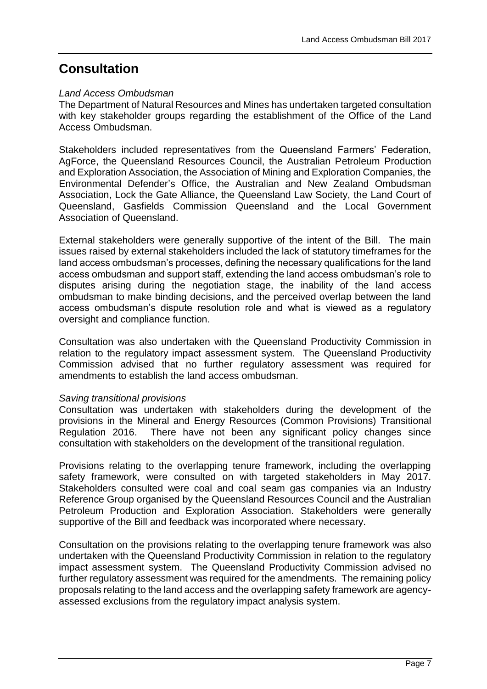## **Consultation**

#### *Land Access Ombudsman*

The Department of Natural Resources and Mines has undertaken targeted consultation with key stakeholder groups regarding the establishment of the Office of the Land Access Ombudsman.

Stakeholders included representatives from the Queensland Farmers' Federation, AgForce, the Queensland Resources Council, the Australian Petroleum Production and Exploration Association, the Association of Mining and Exploration Companies, the Environmental Defender's Office, the Australian and New Zealand Ombudsman Association, Lock the Gate Alliance, the Queensland Law Society, the Land Court of Queensland, Gasfields Commission Queensland and the Local Government Association of Queensland.

External stakeholders were generally supportive of the intent of the Bill. The main issues raised by external stakeholders included the lack of statutory timeframes for the land access ombudsman's processes, defining the necessary qualifications for the land access ombudsman and support staff, extending the land access ombudsman's role to disputes arising during the negotiation stage, the inability of the land access ombudsman to make binding decisions, and the perceived overlap between the land access ombudsman's dispute resolution role and what is viewed as a regulatory oversight and compliance function.

Consultation was also undertaken with the Queensland Productivity Commission in relation to the regulatory impact assessment system. The Queensland Productivity Commission advised that no further regulatory assessment was required for amendments to establish the land access ombudsman.

#### *Saving transitional provisions*

Consultation was undertaken with stakeholders during the development of the provisions in the Mineral and Energy Resources (Common Provisions) Transitional Regulation 2016. There have not been any significant policy changes since consultation with stakeholders on the development of the transitional regulation.

Provisions relating to the overlapping tenure framework, including the overlapping safety framework, were consulted on with targeted stakeholders in May 2017. Stakeholders consulted were coal and coal seam gas companies via an Industry Reference Group organised by the Queensland Resources Council and the Australian Petroleum Production and Exploration Association. Stakeholders were generally supportive of the Bill and feedback was incorporated where necessary.

Consultation on the provisions relating to the overlapping tenure framework was also undertaken with the Queensland Productivity Commission in relation to the regulatory impact assessment system. The Queensland Productivity Commission advised no further regulatory assessment was required for the amendments. The remaining policy proposals relating to the land access and the overlapping safety framework are agencyassessed exclusions from the regulatory impact analysis system.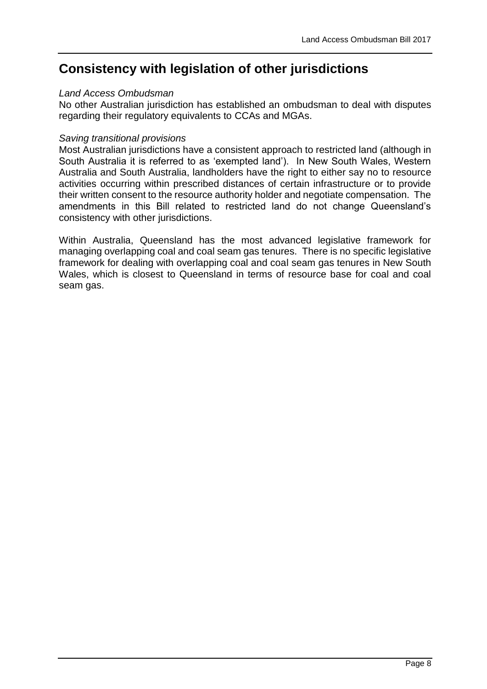## **Consistency with legislation of other jurisdictions**

#### *Land Access Ombudsman*

No other Australian jurisdiction has established an ombudsman to deal with disputes regarding their regulatory equivalents to CCAs and MGAs.

#### *Saving transitional provisions*

Most Australian jurisdictions have a consistent approach to restricted land (although in South Australia it is referred to as 'exempted land'). In New South Wales, Western Australia and South Australia, landholders have the right to either say no to resource activities occurring within prescribed distances of certain infrastructure or to provide their written consent to the resource authority holder and negotiate compensation. The amendments in this Bill related to restricted land do not change Queensland's consistency with other jurisdictions.

Within Australia, Queensland has the most advanced legislative framework for managing overlapping coal and coal seam gas tenures. There is no specific legislative framework for dealing with overlapping coal and coal seam gas tenures in New South Wales, which is closest to Queensland in terms of resource base for coal and coal seam gas.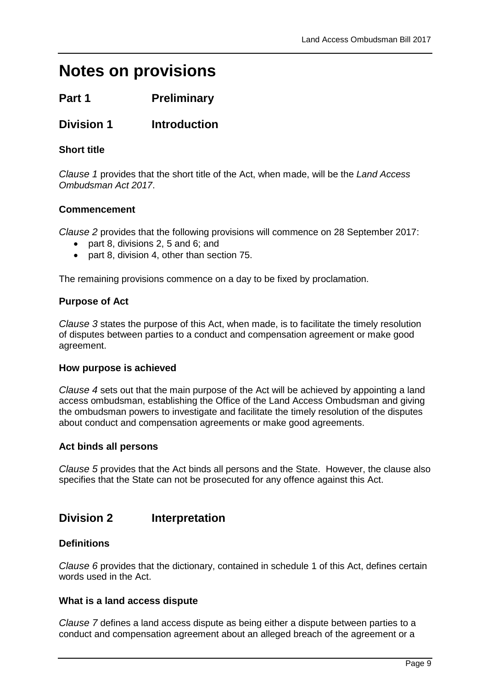# **Notes on provisions**

## **Part 1 Preliminary**

## **Division 1 Introduction**

#### **Short title**

*Clause 1* provides that the short title of the Act, when made, will be the *Land Access Ombudsman Act 2017*.

#### **Commencement**

*Clause 2* provides that the following provisions will commence on 28 September 2017:

- part 8, divisions 2, 5 and 6; and
- part 8, division 4, other than section 75.

The remaining provisions commence on a day to be fixed by proclamation.

#### **Purpose of Act**

*Clause 3* states the purpose of this Act, when made, is to facilitate the timely resolution of disputes between parties to a conduct and compensation agreement or make good agreement.

#### **How purpose is achieved**

*Clause 4* sets out that the main purpose of the Act will be achieved by appointing a land access ombudsman, establishing the Office of the Land Access Ombudsman and giving the ombudsman powers to investigate and facilitate the timely resolution of the disputes about conduct and compensation agreements or make good agreements.

#### **Act binds all persons**

*Clause 5* provides that the Act binds all persons and the State. However, the clause also specifies that the State can not be prosecuted for any offence against this Act.

## **Division 2 Interpretation**

#### **Definitions**

*Clause 6* provides that the dictionary, contained in schedule 1 of this Act, defines certain words used in the Act.

#### **What is a land access dispute**

*Clause 7* defines a land access dispute as being either a dispute between parties to a conduct and compensation agreement about an alleged breach of the agreement or a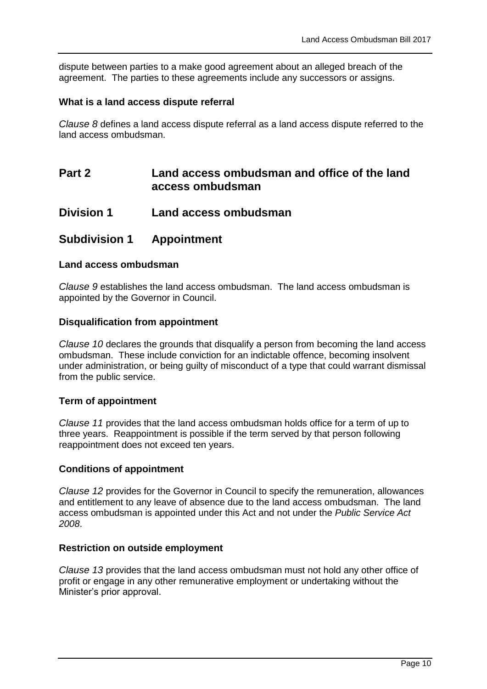dispute between parties to a make good agreement about an alleged breach of the agreement. The parties to these agreements include any successors or assigns.

#### **What is a land access dispute referral**

*Clause 8* defines a land access dispute referral as a land access dispute referred to the land access ombudsman.

## **Part 2 Land access ombudsman and office of the land access ombudsman**

**Division 1 Land access ombudsman**

### **Subdivision 1 Appointment**

#### **Land access ombudsman**

*Clause 9* establishes the land access ombudsman. The land access ombudsman is appointed by the Governor in Council.

#### **Disqualification from appointment**

<span id="page-9-0"></span>*Clause 10* declares the grounds that disqualify a person from becoming the land access ombudsman. These include conviction for an indictable offence, becoming insolvent under administration, or being guilty of misconduct of a type that could warrant dismissal from the public service.

#### **Term of appointment**

*Clause 11* provides that the land access ombudsman holds office for a term of up to three years. Reappointment is possible if the term served by that person following reappointment does not exceed ten years.

#### **Conditions of appointment**

*Clause 12* provides for the Governor in Council to specify the remuneration, allowances and entitlement to any leave of absence due to the land access ombudsman. The land access ombudsman is appointed under this Act and not under the *Public Service Act 2008*.

#### **Restriction on outside employment**

*Clause 13* provides that the land access ombudsman must not hold any other office of profit or engage in any other remunerative employment or undertaking without the Minister's prior approval.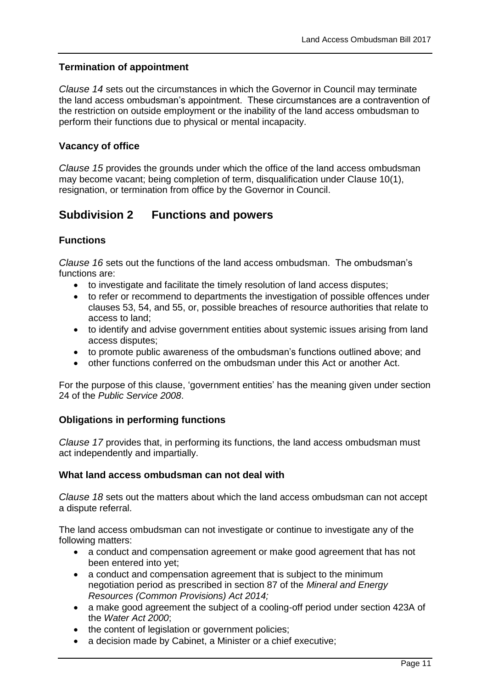#### **Termination of appointment**

*Clause 14* sets out the circumstances in which the Governor in Council may terminate the land access ombudsman's appointment. These circumstances are a contravention of the restriction on outside employment or the inability of the land access ombudsman to perform their functions due to physical or mental incapacity.

#### **Vacancy of office**

*Clause 15* provides the grounds under which the office of the land access ombudsman may become vacant; being completion of term, disqualification under [Clause 10\(](#page-9-0)1), resignation, or termination from office by the Governor in Council.

## **Subdivision 2 Functions and powers**

#### **Functions**

<span id="page-10-1"></span>*Clause 16* sets out the functions of the land access ombudsman. The ombudsman's functions are:

- to investigate and facilitate the timely resolution of land access disputes;
- to refer or recommend to departments the investigation of possible offences under clauses 53, 54, and 55, or, possible breaches of resource authorities that relate to access to land;
- to identify and advise government entities about systemic issues arising from land access disputes;
- to promote public awareness of the ombudsman's functions outlined above; and
- other functions conferred on the ombudsman under this Act or another Act.

For the purpose of this clause, 'government entities' has the meaning given under section 24 of the *Public Service 2008*.

#### **Obligations in performing functions**

*Clause 17* provides that, in performing its functions, the land access ombudsman must act independently and impartially.

#### **What land access ombudsman can not deal with**

*Clause 18* sets out the matters about which the land access ombudsman can not accept a dispute referral.

The land access ombudsman can not investigate or continue to investigate any of the following matters:

- <span id="page-10-0"></span> a conduct and compensation agreement or make good agreement that has not been entered into yet;
- a conduct and compensation agreement that is subject to the minimum negotiation period as prescribed in section 87 of the *Mineral and Energy Resources (Common Provisions) Act 2014;*
- a make good agreement the subject of a cooling-off period under section 423A of the *Water Act 2000*;
- the content of legislation or government policies;
- a decision made by Cabinet, a Minister or a chief executive: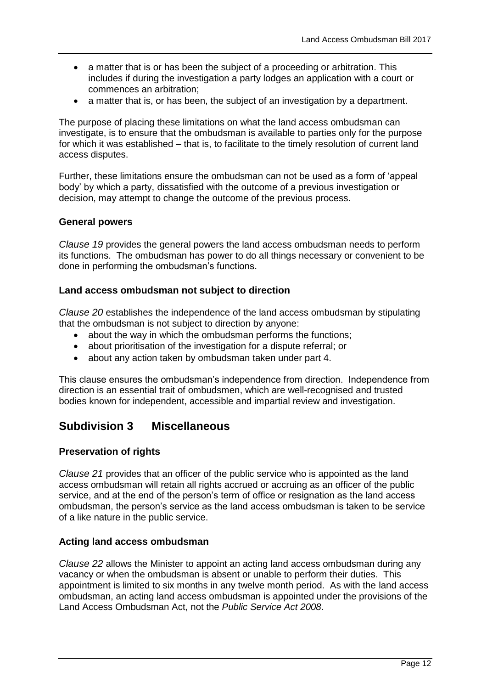- a matter that is or has been the subject of a proceeding or arbitration. This includes if during the investigation a party lodges an application with a court or commences an arbitration;
- a matter that is, or has been, the subject of an investigation by a department.

The purpose of placing these limitations on what the land access ombudsman can investigate, is to ensure that the ombudsman is available to parties only for the purpose for which it was established – that is, to facilitate to the timely resolution of current land access disputes.

Further, these limitations ensure the ombudsman can not be used as a form of 'appeal body' by which a party, dissatisfied with the outcome of a previous investigation or decision, may attempt to change the outcome of the previous process.

#### **General powers**

*Clause 19* provides the general powers the land access ombudsman needs to perform its functions. The ombudsman has power to do all things necessary or convenient to be done in performing the ombudsman's functions.

#### **Land access ombudsman not subject to direction**

*Clause 20* establishes the independence of the land access ombudsman by stipulating that the ombudsman is not subject to direction by anyone:

- about the way in which the ombudsman performs the functions;
- about prioritisation of the investigation for a dispute referral; or
- about any action taken by ombudsman taken under part 4.

This clause ensures the ombudsman's independence from direction. Independence from direction is an essential trait of ombudsmen, which are well-recognised and trusted bodies known for independent, accessible and impartial review and investigation.

## **Subdivision 3 Miscellaneous**

#### **Preservation of rights**

*Clause 21* provides that an officer of the public service who is appointed as the land access ombudsman will retain all rights accrued or accruing as an officer of the public service, and at the end of the person's term of office or resignation as the land access ombudsman, the person's service as the land access ombudsman is taken to be service of a like nature in the public service.

#### **Acting land access ombudsman**

*Clause 22* allows the Minister to appoint an acting land access ombudsman during any vacancy or when the ombudsman is absent or unable to perform their duties. This appointment is limited to six months in any twelve month period. As with the land access ombudsman, an acting land access ombudsman is appointed under the provisions of the Land Access Ombudsman Act, not the *Public Service Act 2008*.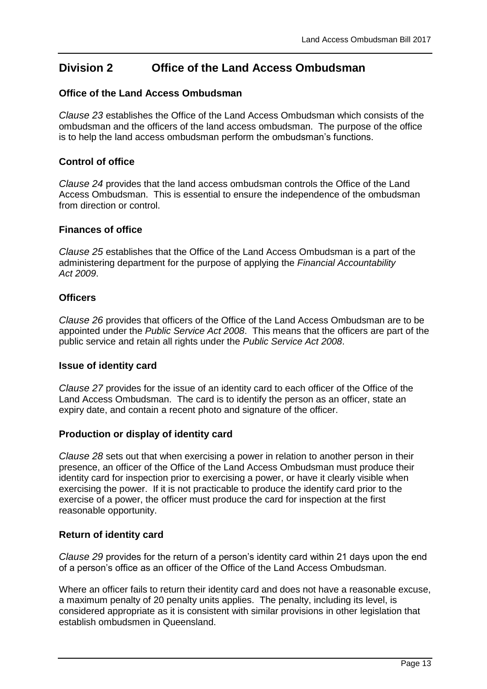## **Division 2 Office of the Land Access Ombudsman**

#### **Office of the Land Access Ombudsman**

*Clause 23* establishes the Office of the Land Access Ombudsman which consists of the ombudsman and the officers of the land access ombudsman. The purpose of the office is to help the land access ombudsman perform the ombudsman's functions.

#### **Control of office**

*Clause 24* provides that the land access ombudsman controls the Office of the Land Access Ombudsman. This is essential to ensure the independence of the ombudsman from direction or control.

#### **Finances of office**

*Clause 25* establishes that the Office of the Land Access Ombudsman is a part of the administering department for the purpose of applying the *Financial Accountability Act 2009*.

#### **Officers**

*Clause 26* provides that officers of the Office of the Land Access Ombudsman are to be appointed under the *Public Service Act 2008*. This means that the officers are part of the public service and retain all rights under the *Public Service Act 2008*.

#### **Issue of identity card**

*Clause 27* provides for the issue of an identity card to each officer of the Office of the Land Access Ombudsman. The card is to identify the person as an officer, state an expiry date, and contain a recent photo and signature of the officer.

#### **Production or display of identity card**

*Clause 28* sets out that when exercising a power in relation to another person in their presence, an officer of the Office of the Land Access Ombudsman must produce their identity card for inspection prior to exercising a power, or have it clearly visible when exercising the power. If it is not practicable to produce the identify card prior to the exercise of a power, the officer must produce the card for inspection at the first reasonable opportunity.

#### **Return of identity card**

<span id="page-12-0"></span>*Clause 29* provides for the return of a person's identity card within 21 days upon the end of a person's office as an officer of the Office of the Land Access Ombudsman.

Where an officer fails to return their identity card and does not have a reasonable excuse, a maximum penalty of 20 penalty units applies. The penalty, including its level, is considered appropriate as it is consistent with similar provisions in other legislation that establish ombudsmen in Queensland.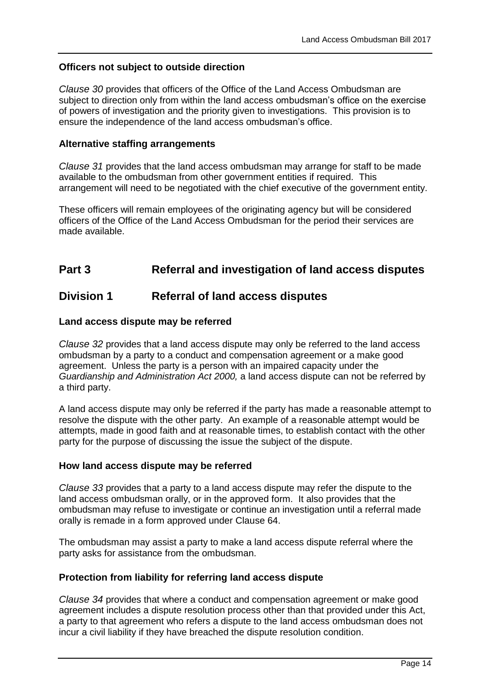#### **Officers not subject to outside direction**

*Clause 30* provides that officers of the Office of the Land Access Ombudsman are subject to direction only from within the land access ombudsman's office on the exercise of powers of investigation and the priority given to investigations. This provision is to ensure the independence of the land access ombudsman's office.

#### **Alternative staffing arrangements**

*Clause 31* provides that the land access ombudsman may arrange for staff to be made available to the ombudsman from other government entities if required. This arrangement will need to be negotiated with the chief executive of the government entity.

These officers will remain employees of the originating agency but will be considered officers of the Office of the Land Access Ombudsman for the period their services are made available.

## **Part 3 Referral and investigation of land access disputes**

### **Division 1 Referral of land access disputes**

#### **Land access dispute may be referred**

<span id="page-13-0"></span>*Clause 32* provides that a land access dispute may only be referred to the land access ombudsman by a party to a conduct and compensation agreement or a make good agreement. Unless the party is a person with an impaired capacity under the *Guardianship and Administration Act 2000,* a land access dispute can not be referred by a third party.

A land access dispute may only be referred if the party has made a reasonable attempt to resolve the dispute with the other party. An example of a reasonable attempt would be attempts, made in good faith and at reasonable times, to establish contact with the other party for the purpose of discussing the issue the subject of the dispute.

#### **How land access dispute may be referred**

*Clause 33* provides that a party to a land access dispute may refer the dispute to the land access ombudsman orally, or in the approved form. It also provides that the ombudsman may refuse to investigate or continue an investigation until a referral made orally is remade in a form approved under [Clause 64.](#page-23-0)

The ombudsman may assist a party to make a land access dispute referral where the party asks for assistance from the ombudsman.

#### **Protection from liability for referring land access dispute**

*Clause 34* provides that where a conduct and compensation agreement or make good agreement includes a dispute resolution process other than that provided under this Act, a party to that agreement who refers a dispute to the land access ombudsman does not incur a civil liability if they have breached the dispute resolution condition.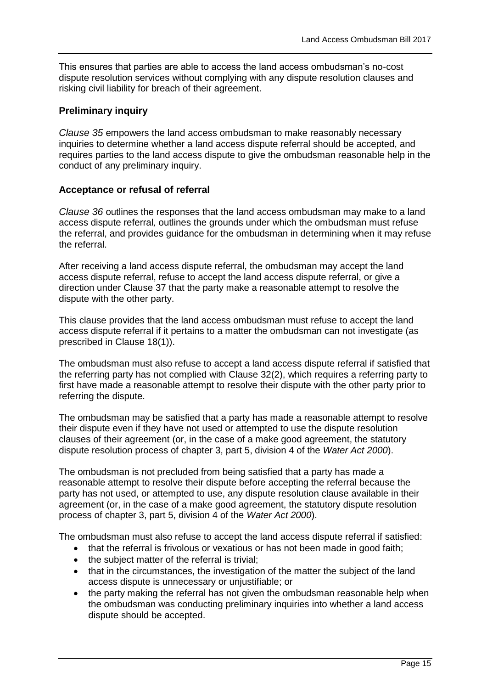This ensures that parties are able to access the land access ombudsman's no-cost dispute resolution services without complying with any dispute resolution clauses and risking civil liability for breach of their agreement.

#### **Preliminary inquiry**

<span id="page-14-0"></span>*Clause 35* empowers the land access ombudsman to make reasonably necessary inquiries to determine whether a land access dispute referral should be accepted, and requires parties to the land access dispute to give the ombudsman reasonable help in the conduct of any preliminary inquiry.

#### **Acceptance or refusal of referral**

<span id="page-14-1"></span>*Clause 36* outlines the responses that the land access ombudsman may make to a land access dispute referral*,* outlines the grounds under which the ombudsman must refuse the referral, and provides guidance for the ombudsman in determining when it may refuse the referral.

After receiving a land access dispute referral, the ombudsman may accept the land access dispute referral, refuse to accept the land access dispute referral, or give a direction under [Clause 37](#page-15-0) that the party make a reasonable attempt to resolve the dispute with the other party.

This clause provides that the land access ombudsman must refuse to accept the land access dispute referral if it pertains to a matter the ombudsman can not investigate (as prescribed in [Clause 18\(](#page-10-0)1)).

The ombudsman must also refuse to accept a land access dispute referral if satisfied that the referring party has not complied with [Clause 32\(](#page-13-0)2), which requires a referring party to first have made a reasonable attempt to resolve their dispute with the other party prior to referring the dispute.

The ombudsman may be satisfied that a party has made a reasonable attempt to resolve their dispute even if they have not used or attempted to use the dispute resolution clauses of their agreement (or, in the case of a make good agreement, the statutory dispute resolution process of chapter 3, part 5, division 4 of the *Water Act 2000*).

The ombudsman is not precluded from being satisfied that a party has made a reasonable attempt to resolve their dispute before accepting the referral because the party has not used, or attempted to use, any dispute resolution clause available in their agreement (or, in the case of a make good agreement, the statutory dispute resolution process of chapter 3, part 5, division 4 of the *Water Act 2000*).

The ombudsman must also refuse to accept the land access dispute referral if satisfied:

- that the referral is frivolous or vexatious or has not been made in good faith;
- the subject matter of the referral is trivial:
- that in the circumstances, the investigation of the matter the subject of the land access dispute is unnecessary or unjustifiable; or
- the party making the referral has not given the ombudsman reasonable help when the ombudsman was conducting preliminary inquiries into whether a land access dispute should be accepted.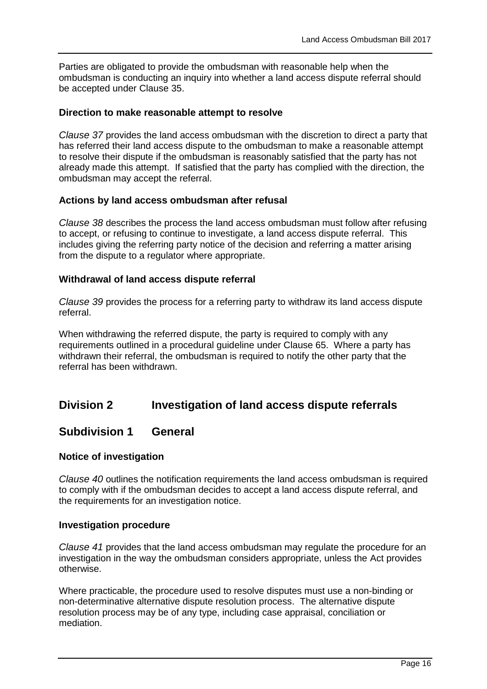Parties are obligated to provide the ombudsman with reasonable help when the ombudsman is conducting an inquiry into whether a land access dispute referral should be accepted under [Clause 35.](#page-14-0)

#### **Direction to make reasonable attempt to resolve**

<span id="page-15-0"></span>*Clause 37* provides the land access ombudsman with the discretion to direct a party that has referred their land access dispute to the ombudsman to make a reasonable attempt to resolve their dispute if the ombudsman is reasonably satisfied that the party has not already made this attempt. If satisfied that the party has complied with the direction, the ombudsman may accept the referral.

#### **Actions by land access ombudsman after refusal**

*Clause 38* describes the process the land access ombudsman must follow after refusing to accept, or refusing to continue to investigate, a land access dispute referral. This includes giving the referring party notice of the decision and referring a matter arising from the dispute to a regulator where appropriate.

#### **Withdrawal of land access dispute referral**

*Clause 39* provides the process for a referring party to withdraw its land access dispute referral.

When withdrawing the referred dispute, the party is required to comply with any requirements outlined in a procedural guideline under [Clause 65.](#page-24-0) Where a party has withdrawn their referral, the ombudsman is required to notify the other party that the referral has been withdrawn.

## **Division 2 Investigation of land access dispute referrals**

## **Subdivision 1 General**

#### **Notice of investigation**

<span id="page-15-1"></span>*Clause 40* outlines the notification requirements the land access ombudsman is required to comply with if the ombudsman decides to accept a land access dispute referral, and the requirements for an investigation notice.

#### **Investigation procedure**

*Clause 41* provides that the land access ombudsman may regulate the procedure for an investigation in the way the ombudsman considers appropriate, unless the Act provides otherwise.

Where practicable, the procedure used to resolve disputes must use a non-binding or non-determinative alternative dispute resolution process. The alternative dispute resolution process may be of any type, including case appraisal, conciliation or mediation.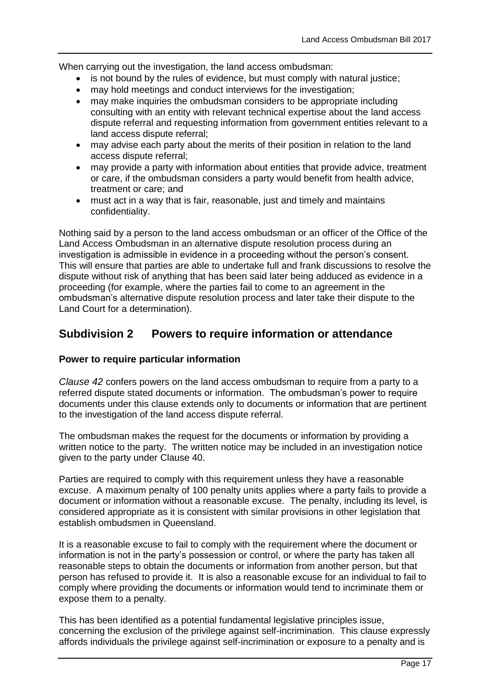When carrying out the investigation, the land access ombudsman:

- is not bound by the rules of evidence, but must comply with natural justice;
- may hold meetings and conduct interviews for the investigation;
- may make inquiries the ombudsman considers to be appropriate including consulting with an entity with relevant technical expertise about the land access dispute referral and requesting information from government entities relevant to a land access dispute referral;
- may advise each party about the merits of their position in relation to the land access dispute referral;
- may provide a party with information about entities that provide advice, treatment or care, if the ombudsman considers a party would benefit from health advice, treatment or care; and
- must act in a way that is fair, reasonable, just and timely and maintains confidentiality.

Nothing said by a person to the land access ombudsman or an officer of the Office of the Land Access Ombudsman in an alternative dispute resolution process during an investigation is admissible in evidence in a proceeding without the person's consent. This will ensure that parties are able to undertake full and frank discussions to resolve the dispute without risk of anything that has been said later being adduced as evidence in a proceeding (for example, where the parties fail to come to an agreement in the ombudsman's alternative dispute resolution process and later take their dispute to the Land Court for a determination).

## **Subdivision 2 Powers to require information or attendance**

#### **Power to require particular information**

<span id="page-16-0"></span>*Clause 42* confers powers on the land access ombudsman to require from a party to a referred dispute stated documents or information. The ombudsman's power to require documents under this clause extends only to documents or information that are pertinent to the investigation of the land access dispute referral.

The ombudsman makes the request for the documents or information by providing a written notice to the party. The written notice may be included in an investigation notice given to the party under [Clause 40.](#page-15-1)

Parties are required to comply with this requirement unless they have a reasonable excuse. A maximum penalty of 100 penalty units applies where a party fails to provide a document or information without a reasonable excuse. The penalty, including its level, is considered appropriate as it is consistent with similar provisions in other legislation that establish ombudsmen in Queensland.

It is a reasonable excuse to fail to comply with the requirement where the document or information is not in the party's possession or control, or where the party has taken all reasonable steps to obtain the documents or information from another person, but that person has refused to provide it. It is also a reasonable excuse for an individual to fail to comply where providing the documents or information would tend to incriminate them or expose them to a penalty.

This has been identified as a potential fundamental legislative principles issue, concerning the exclusion of the privilege against self-incrimination. This clause expressly affords individuals the privilege against self-incrimination or exposure to a penalty and is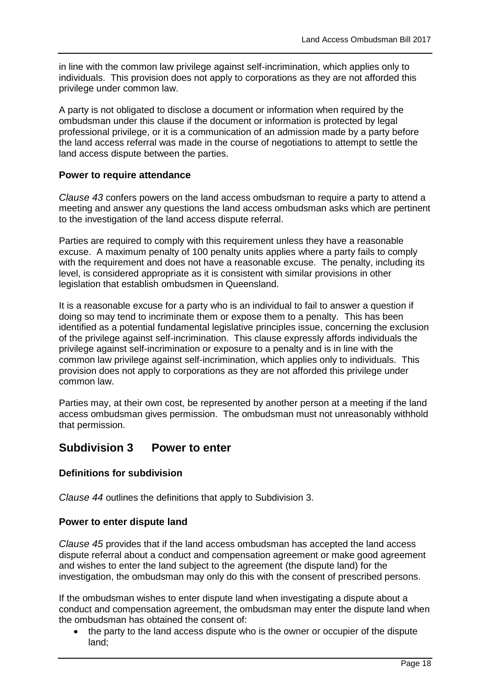in line with the common law privilege against self-incrimination, which applies only to individuals. This provision does not apply to corporations as they are not afforded this privilege under common law.

A party is not obligated to disclose a document or information when required by the ombudsman under this clause if the document or information is protected by legal professional privilege, or it is a communication of an admission made by a party before the land access referral was made in the course of negotiations to attempt to settle the land access dispute between the parties.

#### **Power to require attendance**

<span id="page-17-0"></span>*Clause 43* confers powers on the land access ombudsman to require a party to attend a meeting and answer any questions the land access ombudsman asks which are pertinent to the investigation of the land access dispute referral.

Parties are required to comply with this requirement unless they have a reasonable excuse. A maximum penalty of 100 penalty units applies where a party fails to comply with the requirement and does not have a reasonable excuse. The penalty, including its level, is considered appropriate as it is consistent with similar provisions in other legislation that establish ombudsmen in Queensland.

It is a reasonable excuse for a party who is an individual to fail to answer a question if doing so may tend to incriminate them or expose them to a penalty. This has been identified as a potential fundamental legislative principles issue, concerning the exclusion of the privilege against self-incrimination. This clause expressly affords individuals the privilege against self-incrimination or exposure to a penalty and is in line with the common law privilege against self-incrimination, which applies only to individuals. This provision does not apply to corporations as they are not afforded this privilege under common law.

Parties may, at their own cost, be represented by another person at a meeting if the land access ombudsman gives permission. The ombudsman must not unreasonably withhold that permission.

### **Subdivision 3 Power to enter**

#### **Definitions for subdivision**

<span id="page-17-1"></span>*Clause 44* outlines the definitions that apply to Subdivision 3.

#### **Power to enter dispute land**

*Clause 45* provides that if the land access ombudsman has accepted the land access dispute referral about a conduct and compensation agreement or make good agreement and wishes to enter the land subject to the agreement (the dispute land) for the investigation, the ombudsman may only do this with the consent of prescribed persons.

If the ombudsman wishes to enter dispute land when investigating a dispute about a conduct and compensation agreement, the ombudsman may enter the dispute land when the ombudsman has obtained the consent of:

 the party to the land access dispute who is the owner or occupier of the dispute land;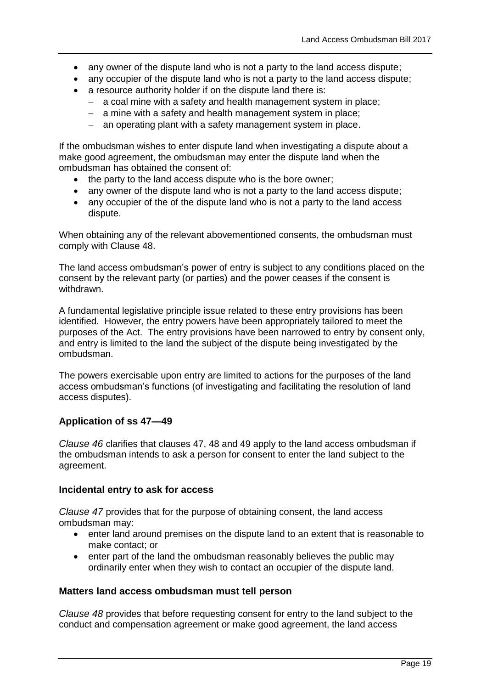- any owner of the dispute land who is not a party to the land access dispute;
- any occupier of the dispute land who is not a party to the land access dispute;
- a resource authority holder if on the dispute land there is:
	- a coal mine with a safety and health management system in place;
	- $-$  a mine with a safety and health management system in place;
	- $-$  an operating plant with a safety management system in place.

If the ombudsman wishes to enter dispute land when investigating a dispute about a make good agreement, the ombudsman may enter the dispute land when the ombudsman has obtained the consent of:

- the party to the land access dispute who is the bore owner;
- any owner of the dispute land who is not a party to the land access dispute;
- any occupier of the of the dispute land who is not a party to the land access dispute.

When obtaining any of the relevant abovementioned consents, the ombudsman must comply with [Clause 48.](#page-18-0)

The land access ombudsman's power of entry is subject to any conditions placed on the consent by the relevant party (or parties) and the power ceases if the consent is withdrawn.

A fundamental legislative principle issue related to these entry provisions has been identified. However, the entry powers have been appropriately tailored to meet the purposes of the Act. The entry provisions have been narrowed to entry by consent only, and entry is limited to the land the subject of the dispute being investigated by the ombudsman.

The powers exercisable upon entry are limited to actions for the purposes of the land access ombudsman's functions (of investigating and facilitating the resolution of land access disputes).

#### **Application of ss 47—49**

*Clause 46* clarifies that clauses 47, 48 and 49 apply to the land access ombudsman if the ombudsman intends to ask a person for consent to enter the land subject to the agreement.

#### **Incidental entry to ask for access**

*Clause 47* provides that for the purpose of obtaining consent, the land access ombudsman may:

- enter land around premises on the dispute land to an extent that is reasonable to make contact; or
- enter part of the land the ombudsman reasonably believes the public may ordinarily enter when they wish to contact an occupier of the dispute land.

#### **Matters land access ombudsman must tell person**

<span id="page-18-0"></span>*Clause 48* provides that before requesting consent for entry to the land subject to the conduct and compensation agreement or make good agreement, the land access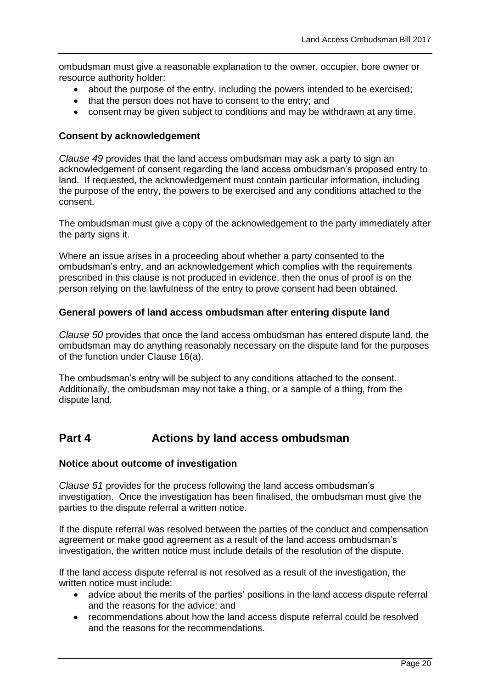ombudsman must give a reasonable explanation to the owner, occupier, bore owner or resource authority holder:

- about the purpose of the entry, including the powers intended to be exercised;
- that the person does not have to consent to the entry; and
- consent may be given subject to conditions and may be withdrawn at any time.

#### **Consent by acknowledgement**

*Clause 49* provides that the land access ombudsman may ask a party to sign an acknowledgement of consent regarding the land access ombudsman's proposed entry to land. If requested, the acknowledgement must contain particular information, including the purpose of the entry, the powers to be exercised and any conditions attached to the consent.

The ombudsman must give a copy of the acknowledgement to the party immediately after the party signs it.

Where an issue arises in a proceeding about whether a party consented to the ombudsman's entry, and an acknowledgement which complies with the requirements prescribed in this clause is not produced in evidence, then the onus of proof is on the person relying on the lawfulness of the entry to prove consent had been obtained.

#### **General powers of land access ombudsman after entering dispute land**

<span id="page-19-0"></span>*Clause 50* provides that once the land access ombudsman has entered dispute land, the ombudsman may do anything reasonably necessary on the dispute land for the purposes of the function under [Clause 16\(](#page-10-1)a).

The ombudsman's entry will be subject to any conditions attached to the consent. Additionally, the ombudsman may not take a thing, or a sample of a thing, from the dispute land.

## **Part 4 Actions by land access ombudsman**

#### **Notice about outcome of investigation**

<span id="page-19-1"></span>*Clause 51* provides for the process following the land access ombudsman's investigation. Once the investigation has been finalised, the ombudsman must give the parties to the dispute referral a written notice.

If the dispute referral was resolved between the parties of the conduct and compensation agreement or make good agreement as a result of the land access ombudsman's investigation, the written notice must include details of the resolution of the dispute.

If the land access dispute referral is not resolved as a result of the investigation, the written notice must include:

- advice about the merits of the parties' positions in the land access dispute referral and the reasons for the advice; and
- recommendations about how the land access dispute referral could be resolved and the reasons for the recommendations.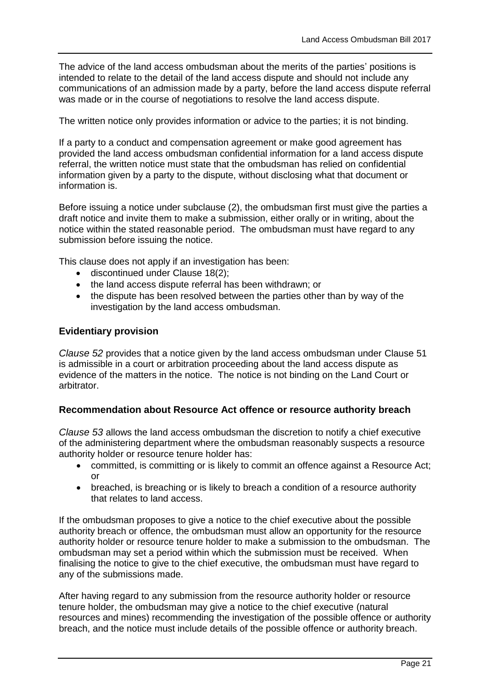The advice of the land access ombudsman about the merits of the parties' positions is intended to relate to the detail of the land access dispute and should not include any communications of an admission made by a party, before the land access dispute referral was made or in the course of negotiations to resolve the land access dispute.

The written notice only provides information or advice to the parties; it is not binding.

If a party to a conduct and compensation agreement or make good agreement has provided the land access ombudsman confidential information for a land access dispute referral, the written notice must state that the ombudsman has relied on confidential information given by a party to the dispute, without disclosing what that document or information is.

Before issuing a notice under subclause (2), the ombudsman first must give the parties a draft notice and invite them to make a submission, either orally or in writing, about the notice within the stated reasonable period. The ombudsman must have regard to any submission before issuing the notice.

This clause does not apply if an investigation has been:

- discontinued under [Clause 18\(](#page-10-0)2);
- the land access dispute referral has been withdrawn; or
- the dispute has been resolved between the parties other than by way of the investigation by the land access ombudsman.

#### **Evidentiary provision**

*Clause 52* provides that a notice given by the land access ombudsman under [Clause 51](#page-19-1) is admissible in a court or arbitration proceeding about the land access dispute as evidence of the matters in the notice. The notice is not binding on the Land Court or arbitrator.

#### **Recommendation about Resource Act offence or resource authority breach**

<span id="page-20-0"></span>*Clause 53* allows the land access ombudsman the discretion to notify a chief executive of the administering department where the ombudsman reasonably suspects a resource authority holder or resource tenure holder has:

- committed, is committing or is likely to commit an offence against a Resource Act; or
- breached, is breaching or is likely to breach a condition of a resource authority that relates to land access.

If the ombudsman proposes to give a notice to the chief executive about the possible authority breach or offence, the ombudsman must allow an opportunity for the resource authority holder or resource tenure holder to make a submission to the ombudsman. The ombudsman may set a period within which the submission must be received. When finalising the notice to give to the chief executive, the ombudsman must have regard to any of the submissions made.

After having regard to any submission from the resource authority holder or resource tenure holder, the ombudsman may give a notice to the chief executive (natural resources and mines) recommending the investigation of the possible offence or authority breach, and the notice must include details of the possible offence or authority breach.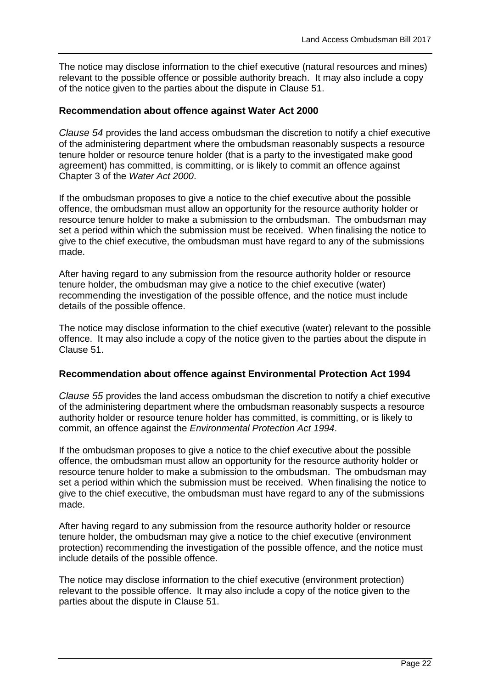The notice may disclose information to the chief executive (natural resources and mines) relevant to the possible offence or possible authority breach. It may also include a copy of the notice given to the parties about the dispute in [Clause 51.](#page-19-1)

#### **Recommendation about offence against Water Act 2000**

<span id="page-21-0"></span>*Clause 54* provides the land access ombudsman the discretion to notify a chief executive of the administering department where the ombudsman reasonably suspects a resource tenure holder or resource tenure holder (that is a party to the investigated make good agreement) has committed, is committing, or is likely to commit an offence against Chapter 3 of the *Water Act 2000*.

If the ombudsman proposes to give a notice to the chief executive about the possible offence, the ombudsman must allow an opportunity for the resource authority holder or resource tenure holder to make a submission to the ombudsman. The ombudsman may set a period within which the submission must be received. When finalising the notice to give to the chief executive, the ombudsman must have regard to any of the submissions made.

After having regard to any submission from the resource authority holder or resource tenure holder, the ombudsman may give a notice to the chief executive (water) recommending the investigation of the possible offence, and the notice must include details of the possible offence.

The notice may disclose information to the chief executive (water) relevant to the possible offence. It may also include a copy of the notice given to the parties about the dispute in [Clause](#page-19-1) 51.

#### **Recommendation about offence against Environmental Protection Act 1994**

<span id="page-21-1"></span>*Clause 55* provides the land access ombudsman the discretion to notify a chief executive of the administering department where the ombudsman reasonably suspects a resource authority holder or resource tenure holder has committed, is committing, or is likely to commit, an offence against the *Environmental Protection Act 1994*.

If the ombudsman proposes to give a notice to the chief executive about the possible offence, the ombudsman must allow an opportunity for the resource authority holder or resource tenure holder to make a submission to the ombudsman. The ombudsman may set a period within which the submission must be received. When finalising the notice to give to the chief executive, the ombudsman must have regard to any of the submissions made.

After having regard to any submission from the resource authority holder or resource tenure holder, the ombudsman may give a notice to the chief executive (environment protection) recommending the investigation of the possible offence, and the notice must include details of the possible offence.

The notice may disclose information to the chief executive (environment protection) relevant to the possible offence. It may also include a copy of the notice given to the parties about the dispute in [Clause 51.](#page-19-1)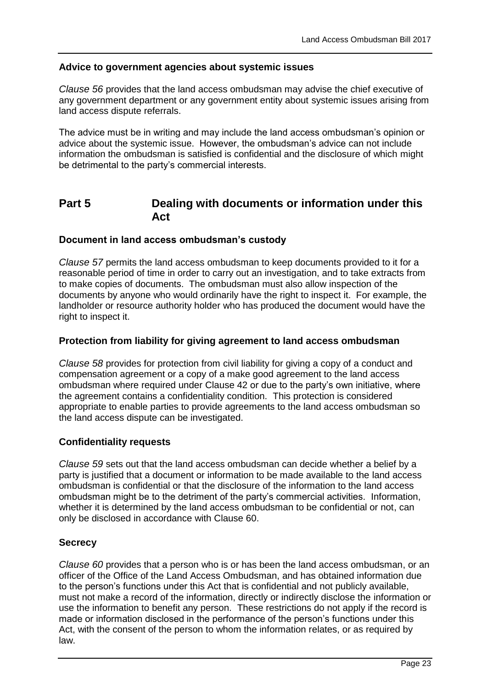#### **Advice to government agencies about systemic issues**

*Clause 56* provides that the land access ombudsman may advise the chief executive of any government department or any government entity about systemic issues arising from land access dispute referrals.

The advice must be in writing and may include the land access ombudsman's opinion or advice about the systemic issue. However, the ombudsman's advice can not include information the ombudsman is satisfied is confidential and the disclosure of which might be detrimental to the party's commercial interests.

## **Part 5 Dealing with documents or information under this Act**

#### **Document in land access ombudsman's custody**

*Clause 57* permits the land access ombudsman to keep documents provided to it for a reasonable period of time in order to carry out an investigation, and to take extracts from to make copies of documents. The ombudsman must also allow inspection of the documents by anyone who would ordinarily have the right to inspect it. For example, the landholder or resource authority holder who has produced the document would have the right to inspect it.

#### **Protection from liability for giving agreement to land access ombudsman**

*Clause 58* provides for protection from civil liability for giving a copy of a conduct and compensation agreement or a copy of a make good agreement to the land access ombudsman where required under [Clause 42](#page-16-0) or due to the party's own initiative, where the agreement contains a confidentiality condition. This protection is considered appropriate to enable parties to provide agreements to the land access ombudsman so the land access dispute can be investigated.

#### **Confidentiality requests**

*Clause 59* sets out that the land access ombudsman can decide whether a belief by a party is justified that a document or information to be made available to the land access ombudsman is confidential or that the disclosure of the information to the land access ombudsman might be to the detriment of the party's commercial activities. Information, whether it is determined by the land access ombudsman to be confidential or not, can only be disclosed in accordance with [Clause 60.](#page-22-0)

#### **Secrecy**

<span id="page-22-0"></span>*Clause 60* provides that a person who is or has been the land access ombudsman, or an officer of the Office of the Land Access Ombudsman, and has obtained information due to the person's functions under this Act that is confidential and not publicly available, must not make a record of the information, directly or indirectly disclose the information or use the information to benefit any person. These restrictions do not apply if the record is made or information disclosed in the performance of the person's functions under this Act, with the consent of the person to whom the information relates, or as required by law.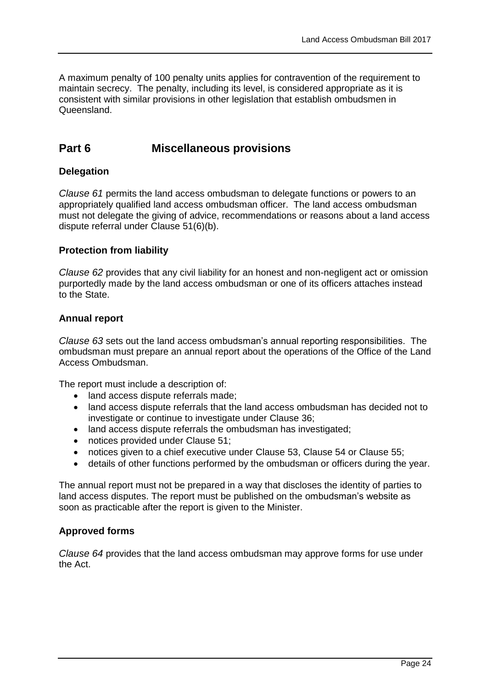A maximum penalty of 100 penalty units applies for contravention of the requirement to maintain secrecy. The penalty, including its level, is considered appropriate as it is consistent with similar provisions in other legislation that establish ombudsmen in Queensland.

## **Part 6 Miscellaneous provisions**

#### **Delegation**

*Clause 61* permits the land access ombudsman to delegate functions or powers to an appropriately qualified land access ombudsman officer. The land access ombudsman must not delegate the giving of advice, recommendations or reasons about a land access dispute referral under [Clause 51\(](#page-19-1)6)(b).

#### **Protection from liability**

*Clause 62* provides that any civil liability for an honest and non-negligent act or omission purportedly made by the land access ombudsman or one of its officers attaches instead to the State.

#### **Annual report**

*Clause 63* sets out the land access ombudsman's annual reporting responsibilities. The ombudsman must prepare an annual report about the operations of the Office of the Land Access Ombudsman.

The report must include a description of:

- land access dispute referrals made;
- land access dispute referrals that the land access ombudsman has decided not to investigate or continue to investigate under [Clause 36;](#page-14-1)
- land access dispute referrals the ombudsman has investigated;
- notices provided under [Clause 51;](#page-19-1)
- notices given to a chief executive under [Clause 53,](#page-20-0) [Clause 54](#page-21-0) or [Clause 55;](#page-21-1)
- details of other functions performed by the ombudsman or officers during the year.

The annual report must not be prepared in a way that discloses the identity of parties to land access disputes. The report must be published on the ombudsman's website as soon as practicable after the report is given to the Minister.

#### **Approved forms**

<span id="page-23-0"></span>*Clause 64* provides that the land access ombudsman may approve forms for use under the Act.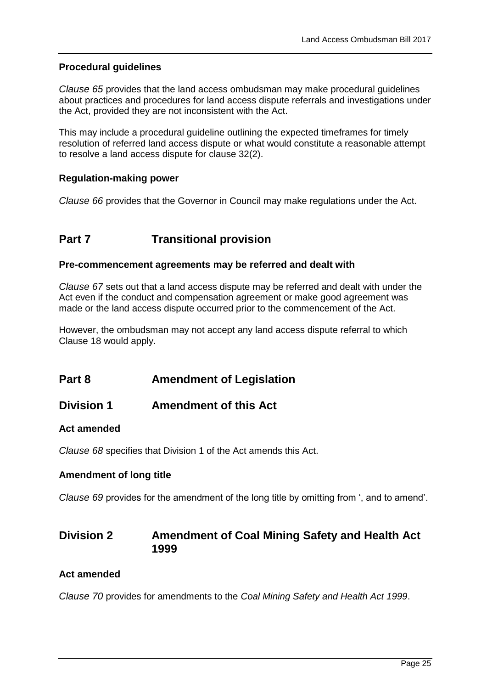#### **Procedural guidelines**

<span id="page-24-0"></span>*Clause 65* provides that the land access ombudsman may make procedural guidelines about practices and procedures for land access dispute referrals and investigations under the Act, provided they are not inconsistent with the Act.

This may include a procedural guideline outlining the expected timeframes for timely resolution of referred land access dispute or what would constitute a reasonable attempt to resolve a land access dispute for clause 32(2).

#### **Regulation-making power**

*Clause 66* provides that the Governor in Council may make regulations under the Act.

## **Part 7** Transitional provision

#### **Pre-commencement agreements may be referred and dealt with**

*Clause 67* sets out that a land access dispute may be referred and dealt with under the Act even if the conduct and compensation agreement or make good agreement was made or the land access dispute occurred prior to the commencement of the Act.

However, the ombudsman may not accept any land access dispute referral to which [Clause 18](#page-10-0) would apply.

### **Part 8 Amendment of Legislation**

### **Division 1 Amendment of this Act**

#### **Act amended**

*Clause 68* specifies that Division 1 of the Act amends this Act.

#### **Amendment of long title**

*Clause 69* provides for the amendment of the long title by omitting from ', and to amend'.

### **Division 2 Amendment of Coal Mining Safety and Health Act 1999**

#### **Act amended**

*Clause 70* provides for amendments to the *Coal Mining Safety and Health Act 1999*.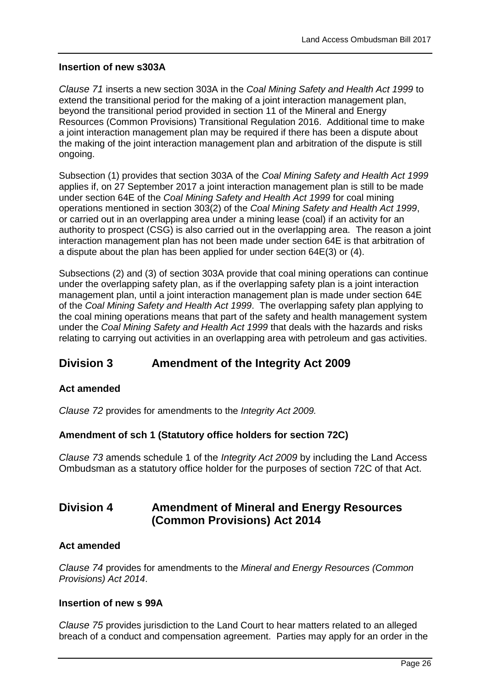#### **Insertion of new s303A**

*Clause 71* inserts a new section 303A in the *Coal Mining Safety and Health Act 1999* to extend the transitional period for the making of a joint interaction management plan, beyond the transitional period provided in section 11 of the Mineral and Energy Resources (Common Provisions) Transitional Regulation 2016. Additional time to make a joint interaction management plan may be required if there has been a dispute about the making of the joint interaction management plan and arbitration of the dispute is still ongoing.

Subsection (1) provides that section 303A of the *Coal Mining Safety and Health Act 1999* applies if, on 27 September 2017 a joint interaction management plan is still to be made under section 64E of the *Coal Mining Safety and Health Act 1999* for coal mining operations mentioned in section 303(2) of the *Coal Mining Safety and Health Act 1999*, or carried out in an overlapping area under a mining lease (coal) if an activity for an authority to prospect (CSG) is also carried out in the overlapping area. The reason a joint interaction management plan has not been made under section 64E is that arbitration of a dispute about the plan has been applied for under section 64E(3) or (4).

Subsections (2) and (3) of section 303A provide that coal mining operations can continue under the overlapping safety plan, as if the overlapping safety plan is a joint interaction management plan, until a joint interaction management plan is made under section 64E of the *Coal Mining Safety and Health Act 1999*. The overlapping safety plan applying to the coal mining operations means that part of the safety and health management system under the *Coal Mining Safety and Health Act 1999* that deals with the hazards and risks relating to carrying out activities in an overlapping area with petroleum and gas activities.

## **Division 3 Amendment of the Integrity Act 2009**

#### **Act amended**

*Clause 72* provides for amendments to the *Integrity Act 2009.*

#### **Amendment of sch 1 (Statutory office holders for section 72C)**

*Clause 73* amends schedule 1 of the *Integrity Act 2009* by including the Land Access Ombudsman as a statutory office holder for the purposes of section 72C of that Act.

## **Division 4 Amendment of Mineral and Energy Resources (Common Provisions) Act 2014**

#### **Act amended**

*Clause 74* provides for amendments to the *Mineral and Energy Resources (Common Provisions) Act 2014*.

#### **Insertion of new s 99A**

*Clause 75* provides jurisdiction to the Land Court to hear matters related to an alleged breach of a conduct and compensation agreement. Parties may apply for an order in the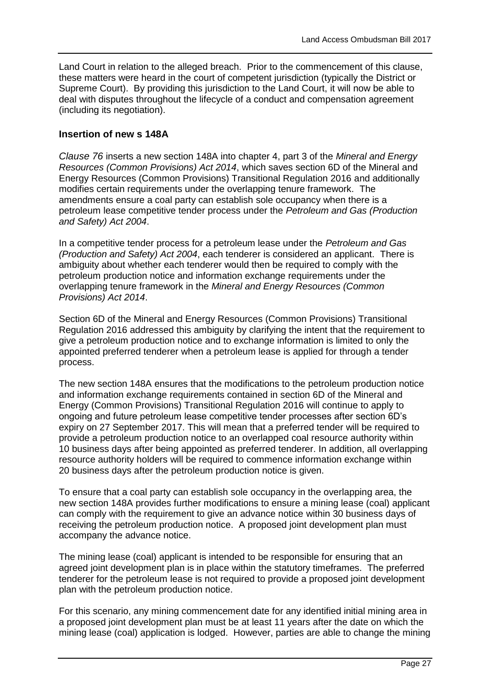Land Court in relation to the alleged breach. Prior to the commencement of this clause, these matters were heard in the court of competent jurisdiction (typically the District or Supreme Court). By providing this jurisdiction to the Land Court, it will now be able to deal with disputes throughout the lifecycle of a conduct and compensation agreement (including its negotiation).

#### **Insertion of new s 148A**

<span id="page-26-0"></span>*Clause 76* inserts a new section 148A into chapter 4, part 3 of the *Mineral and Energy Resources (Common Provisions) Act 2014*, which saves section 6D of the Mineral and Energy Resources (Common Provisions) Transitional Regulation 2016 and additionally modifies certain requirements under the overlapping tenure framework. The amendments ensure a coal party can establish sole occupancy when there is a petroleum lease competitive tender process under the *Petroleum and Gas (Production and Safety) Act 2004*.

In a competitive tender process for a petroleum lease under the *Petroleum and Gas (Production and Safety) Act 2004*, each tenderer is considered an applicant. There is ambiguity about whether each tenderer would then be required to comply with the petroleum production notice and information exchange requirements under the overlapping tenure framework in the *Mineral and Energy Resources (Common Provisions) Act 2014*.

Section 6D of the Mineral and Energy Resources (Common Provisions) Transitional Regulation 2016 addressed this ambiguity by clarifying the intent that the requirement to give a petroleum production notice and to exchange information is limited to only the appointed preferred tenderer when a petroleum lease is applied for through a tender process.

The new section 148A ensures that the modifications to the petroleum production notice and information exchange requirements contained in section 6D of the Mineral and Energy (Common Provisions) Transitional Regulation 2016 will continue to apply to ongoing and future petroleum lease competitive tender processes after section 6D's expiry on 27 September 2017. This will mean that a preferred tender will be required to provide a petroleum production notice to an overlapped coal resource authority within 10 business days after being appointed as preferred tenderer. In addition, all overlapping resource authority holders will be required to commence information exchange within 20 business days after the petroleum production notice is given.

To ensure that a coal party can establish sole occupancy in the overlapping area, the new section 148A provides further modifications to ensure a mining lease (coal) applicant can comply with the requirement to give an advance notice within 30 business days of receiving the petroleum production notice. A proposed joint development plan must accompany the advance notice.

The mining lease (coal) applicant is intended to be responsible for ensuring that an agreed joint development plan is in place within the statutory timeframes. The preferred tenderer for the petroleum lease is not required to provide a proposed joint development plan with the petroleum production notice.

For this scenario, any mining commencement date for any identified initial mining area in a proposed joint development plan must be at least 11 years after the date on which the mining lease (coal) application is lodged. However, parties are able to change the mining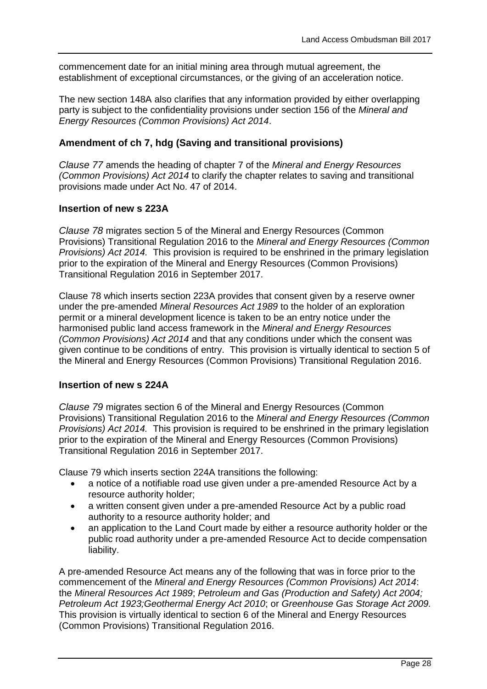commencement date for an initial mining area through mutual agreement, the establishment of exceptional circumstances, or the giving of an acceleration notice.

The new section 148A also clarifies that any information provided by either overlapping party is subject to the confidentiality provisions under section 156 of the *Mineral and Energy Resources (Common Provisions) Act 2014*.

#### **Amendment of ch 7, hdg (Saving and transitional provisions)**

*Clause 77* amends the heading of chapter 7 of the *Mineral and Energy Resources (Common Provisions) Act 2014* to clarify the chapter relates to saving and transitional provisions made under Act No. 47 of 2014.

#### **Insertion of new s 223A**

<span id="page-27-0"></span>*Clause 78* migrates section 5 of the Mineral and Energy Resources (Common Provisions) Transitional Regulation 2016 to the *Mineral and Energy Resources (Common Provisions) Act 2014.* This provision is required to be enshrined in the primary legislation prior to the expiration of the Mineral and Energy Resources (Common Provisions) Transitional Regulation 2016 in September 2017.

[Clause 78](#page-27-0) which inserts section 223A provides that consent given by a reserve owner under the pre-amended *Mineral Resources Act 1989* to the holder of an exploration permit or a mineral development licence is taken to be an entry notice under the harmonised public land access framework in the *Mineral and Energy Resources (Common Provisions) Act 2014* and that any conditions under which the consent was given continue to be conditions of entry. This provision is virtually identical to section 5 of the Mineral and Energy Resources (Common Provisions) Transitional Regulation 2016.

#### **Insertion of new s 224A**

<span id="page-27-1"></span>*Clause 79* migrates section 6 of the Mineral and Energy Resources (Common Provisions) Transitional Regulation 2016 to the *Mineral and Energy Resources (Common Provisions) Act 2014.* This provision is required to be enshrined in the primary legislation prior to the expiration of the Mineral and Energy Resources (Common Provisions) Transitional Regulation 2016 in September 2017.

[Clause 79](#page-27-1) which inserts section 224A transitions the following:

- a notice of a notifiable road use given under a pre-amended Resource Act by a resource authority holder;
- a written consent given under a pre-amended Resource Act by a public road authority to a resource authority holder; and
- an application to the Land Court made by either a resource authority holder or the public road authority under a pre-amended Resource Act to decide compensation liability.

A pre-amended Resource Act means any of the following that was in force prior to the commencement of the *Mineral and Energy Resources (Common Provisions) Act 2014*: the *Mineral Resources Act 1989*; *Petroleum and Gas (Production and Safety) Act 2004; Petroleum Act 1923;Geothermal Energy Act 2010*; or *Greenhouse Gas Storage Act 2009.*  This provision is virtually identical to section 6 of the Mineral and Energy Resources (Common Provisions) Transitional Regulation 2016.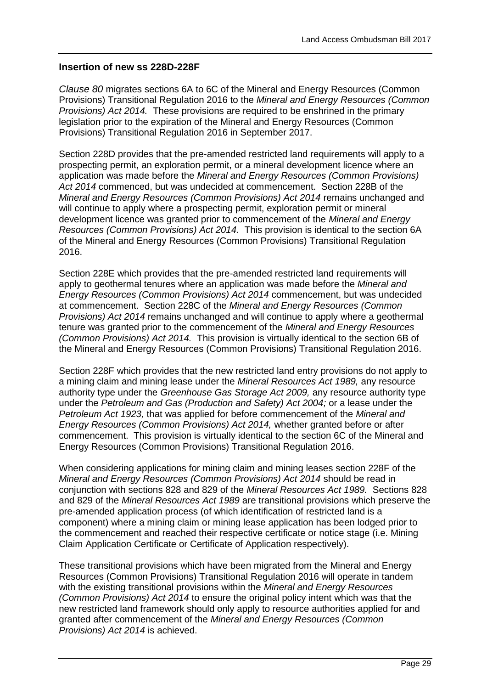#### **Insertion of new ss 228D-228F**

*Clause 80* migrates sections 6A to 6C of the Mineral and Energy Resources (Common Provisions) Transitional Regulation 2016 to the *Mineral and Energy Resources (Common Provisions) Act 2014.* These provisions are required to be enshrined in the primary legislation prior to the expiration of the Mineral and Energy Resources (Common Provisions) Transitional Regulation 2016 in September 2017.

Section 228D provides that the pre-amended restricted land requirements will apply to a prospecting permit, an exploration permit, or a mineral development licence where an application was made before the *Mineral and Energy Resources (Common Provisions) Act 2014* commenced, but was undecided at commencement. Section 228B of the *Mineral and Energy Resources (Common Provisions) Act 2014* remains unchanged and will continue to apply where a prospecting permit, exploration permit or mineral development licence was granted prior to commencement of the *Mineral and Energy Resources (Common Provisions) Act 2014.* This provision is identical to the section 6A of the Mineral and Energy Resources (Common Provisions) Transitional Regulation 2016.

Section 228E which provides that the pre-amended restricted land requirements will apply to geothermal tenures where an application was made before the *Mineral and Energy Resources (Common Provisions) Act 2014* commencement, but was undecided at commencement. Section 228C of the *Mineral and Energy Resources (Common Provisions) Act 2014* remains unchanged and will continue to apply where a geothermal tenure was granted prior to the commencement of the *Mineral and Energy Resources (Common Provisions) Act 2014.* This provision is virtually identical to the section 6B of the Mineral and Energy Resources (Common Provisions) Transitional Regulation 2016.

Section 228F which provides that the new restricted land entry provisions do not apply to a mining claim and mining lease under the *Mineral Resources Act 1989,* any resource authority type under the *Greenhouse Gas Storage Act 2009,* any resource authority type under the *Petroleum and Gas (Production and Safety) Act 2004;* or a lease under the *Petroleum Act 1923,* that was applied for before commencement of the *Mineral and Energy Resources (Common Provisions) Act 2014,* whether granted before or after commencement. This provision is virtually identical to the section 6C of the Mineral and Energy Resources (Common Provisions) Transitional Regulation 2016.

When considering applications for mining claim and mining leases section 228F of the *Mineral and Energy Resources (Common Provisions) Act 2014* should be read in conjunction with sections 828 and 829 of the *Mineral Resources Act 1989.* Sections 828 and 829 of the *Mineral Resources Act 1989* are transitional provisions which preserve the pre-amended application process (of which identification of restricted land is a component) where a mining claim or mining lease application has been lodged prior to the commencement and reached their respective certificate or notice stage (i.e. Mining Claim Application Certificate or Certificate of Application respectively).

These transitional provisions which have been migrated from the Mineral and Energy Resources (Common Provisions) Transitional Regulation 2016 will operate in tandem with the existing transitional provisions within the *Mineral and Energy Resources (Common Provisions) Act 2014* to ensure the original policy intent which was that the new restricted land framework should only apply to resource authorities applied for and granted after commencement of the *Mineral and Energy Resources (Common Provisions) Act 2014* is achieved.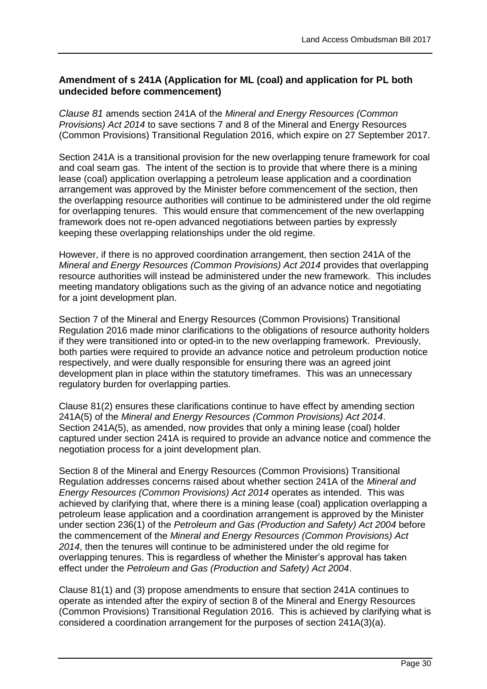### **Amendment of s 241A (Application for ML (coal) and application for PL both undecided before commencement)**

<span id="page-29-0"></span>*Clause 81* amends section 241A of the *Mineral and Energy Resources (Common Provisions) Act 2014* to save sections 7 and 8 of the Mineral and Energy Resources (Common Provisions) Transitional Regulation 2016, which expire on 27 September 2017.

Section 241A is a transitional provision for the new overlapping tenure framework for coal and coal seam gas. The intent of the section is to provide that where there is a mining lease (coal) application overlapping a petroleum lease application and a coordination arrangement was approved by the Minister before commencement of the section, then the overlapping resource authorities will continue to be administered under the old regime for overlapping tenures. This would ensure that commencement of the new overlapping framework does not re-open advanced negotiations between parties by expressly keeping these overlapping relationships under the old regime.

However, if there is no approved coordination arrangement, then section 241A of the *Mineral and Energy Resources (Common Provisions) Act 2014* provides that overlapping resource authorities will instead be administered under the new framework. This includes meeting mandatory obligations such as the giving of an advance notice and negotiating for a joint development plan.

Section 7 of the Mineral and Energy Resources (Common Provisions) Transitional Regulation 2016 made minor clarifications to the obligations of resource authority holders if they were transitioned into or opted-in to the new overlapping framework. Previously, both parties were required to provide an advance notice and petroleum production notice respectively, and were dually responsible for ensuring there was an agreed joint development plan in place within the statutory timeframes. This was an unnecessary regulatory burden for overlapping parties.

[Clause 81\(](#page-29-0)2) ensures these clarifications continue to have effect by amending section 241A(5) of the *Mineral and Energy Resources (Common Provisions) Act 2014*. Section 241A(5), as amended, now provides that only a mining lease (coal) holder captured under section 241A is required to provide an advance notice and commence the negotiation process for a joint development plan.

Section 8 of the Mineral and Energy Resources (Common Provisions) Transitional Regulation addresses concerns raised about whether section 241A of the *Mineral and Energy Resources (Common Provisions) Act 2014* operates as intended. This was achieved by clarifying that, where there is a mining lease (coal) application overlapping a petroleum lease application and a coordination arrangement is approved by the Minister under section 236(1) of the *Petroleum and Gas (Production and Safety) Act 2004* before the commencement of the *Mineral and Energy Resources (Common Provisions) Act 2014*, then the tenures will continue to be administered under the old regime for overlapping tenures. This is regardless of whether the Minister's approval has taken effect under the *Petroleum and Gas (Production and Safety) Act 2004*.

[Clause 81\(](#page-29-0)1) and (3) propose amendments to ensure that section 241A continues to operate as intended after the expiry of section 8 of the Mineral and Energy Resources (Common Provisions) Transitional Regulation 2016. This is achieved by clarifying what is considered a coordination arrangement for the purposes of section 241A(3)(a).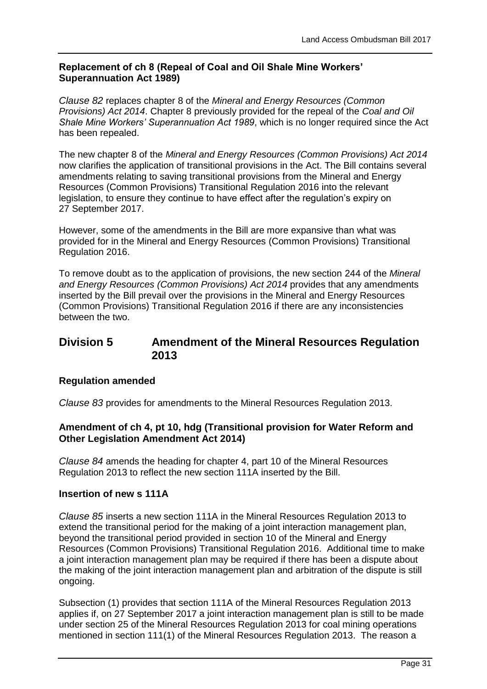#### **Replacement of ch 8 (Repeal of Coal and Oil Shale Mine Workers' Superannuation Act 1989)**

*Clause 82* replaces chapter 8 of the *Mineral and Energy Resources (Common Provisions) Act 2014*. Chapter 8 previously provided for the repeal of the *Coal and Oil Shale Mine Workers' Superannuation Act 1989*, which is no longer required since the Act has been repealed.

The new chapter 8 of the *Mineral and Energy Resources (Common Provisions) Act 2014* now clarifies the application of transitional provisions in the Act. The Bill contains several amendments relating to saving transitional provisions from the Mineral and Energy Resources (Common Provisions) Transitional Regulation 2016 into the relevant legislation, to ensure they continue to have effect after the regulation's expiry on 27 September 2017.

However, some of the amendments in the Bill are more expansive than what was provided for in the Mineral and Energy Resources (Common Provisions) Transitional Regulation 2016.

To remove doubt as to the application of provisions, the new section 244 of the *Mineral and Energy Resources (Common Provisions) Act 2014* provides that any amendments inserted by the Bill prevail over the provisions in the Mineral and Energy Resources (Common Provisions) Transitional Regulation 2016 if there are any inconsistencies between the two.

## **Division 5 Amendment of the Mineral Resources Regulation 2013**

#### **Regulation amended**

*Clause 83* provides for amendments to the Mineral Resources Regulation 2013.

#### **Amendment of ch 4, pt 10, hdg (Transitional provision for Water Reform and Other Legislation Amendment Act 2014)**

*Clause 84* amends the heading for chapter 4, part 10 of the Mineral Resources Regulation 2013 to reflect the new section 111A inserted by the Bill.

#### **Insertion of new s 111A**

*Clause 85* inserts a new section 111A in the Mineral Resources Regulation 2013 to extend the transitional period for the making of a joint interaction management plan, beyond the transitional period provided in section 10 of the Mineral and Energy Resources (Common Provisions) Transitional Regulation 2016. Additional time to make a joint interaction management plan may be required if there has been a dispute about the making of the joint interaction management plan and arbitration of the dispute is still ongoing.

Subsection (1) provides that section 111A of the Mineral Resources Regulation 2013 applies if, on 27 September 2017 a joint interaction management plan is still to be made under section 25 of the Mineral Resources Regulation 2013 for coal mining operations mentioned in section 111(1) of the Mineral Resources Regulation 2013. The reason a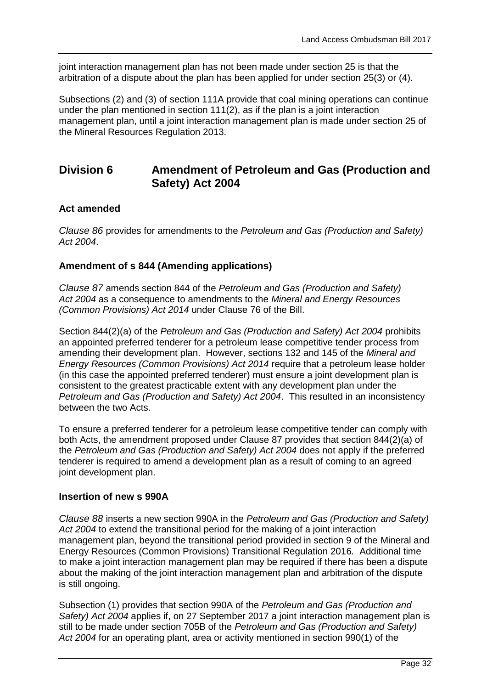joint interaction management plan has not been made under section 25 is that the arbitration of a dispute about the plan has been applied for under section 25(3) or (4).

Subsections (2) and (3) of section 111A provide that coal mining operations can continue under the plan mentioned in section 111(2), as if the plan is a joint interaction management plan, until a joint interaction management plan is made under section 25 of the Mineral Resources Regulation 2013.

### **Division 6 Amendment of Petroleum and Gas (Production and Safety) Act 2004**

#### **Act amended**

*Clause 86* provides for amendments to the *Petroleum and Gas (Production and Safety) Act 2004*.

#### **Amendment of s 844 (Amending applications)**

<span id="page-31-0"></span>*Clause 87* amends section 844 of the *Petroleum and Gas (Production and Safety) Act 2004* as a consequence to amendments to the *Mineral and Energy Resources (Common Provisions) Act 2014* under [Clause 76](#page-26-0) of the Bill.

Section 844(2)(a) of the *Petroleum and Gas (Production and Safety) Act 2004* prohibits an appointed preferred tenderer for a petroleum lease competitive tender process from amending their development plan. However, sections 132 and 145 of the *Mineral and Energy Resources (Common Provisions) Act 2014* require that a petroleum lease holder (in this case the appointed preferred tenderer) must ensure a joint development plan is consistent to the greatest practicable extent with any development plan under the *Petroleum and Gas (Production and Safety) Act 2004*. This resulted in an inconsistency between the two Acts.

To ensure a preferred tenderer for a petroleum lease competitive tender can comply with both Acts, the amendment proposed under [Clause 87](#page-31-0) provides that section 844(2)(a) of the *Petroleum and Gas (Production and Safety) Act 2004* does not apply if the preferred tenderer is required to amend a development plan as a result of coming to an agreed joint development plan.

#### **Insertion of new s 990A**

*Clause 88* inserts a new section 990A in the *Petroleum and Gas (Production and Safety) Act 2004* to extend the transitional period for the making of a joint interaction management plan, beyond the transitional period provided in section 9 of the Mineral and Energy Resources (Common Provisions) Transitional Regulation 2016*.* Additional time to make a joint interaction management plan may be required if there has been a dispute about the making of the joint interaction management plan and arbitration of the dispute is still ongoing.

Subsection (1) provides that section 990A of the *Petroleum and Gas (Production and Safety) Act 2004* applies if, on 27 September 2017 a joint interaction management plan is still to be made under section 705B of the *Petroleum and Gas (Production and Safety) Act 2004* for an operating plant, area or activity mentioned in section 990(1) of the